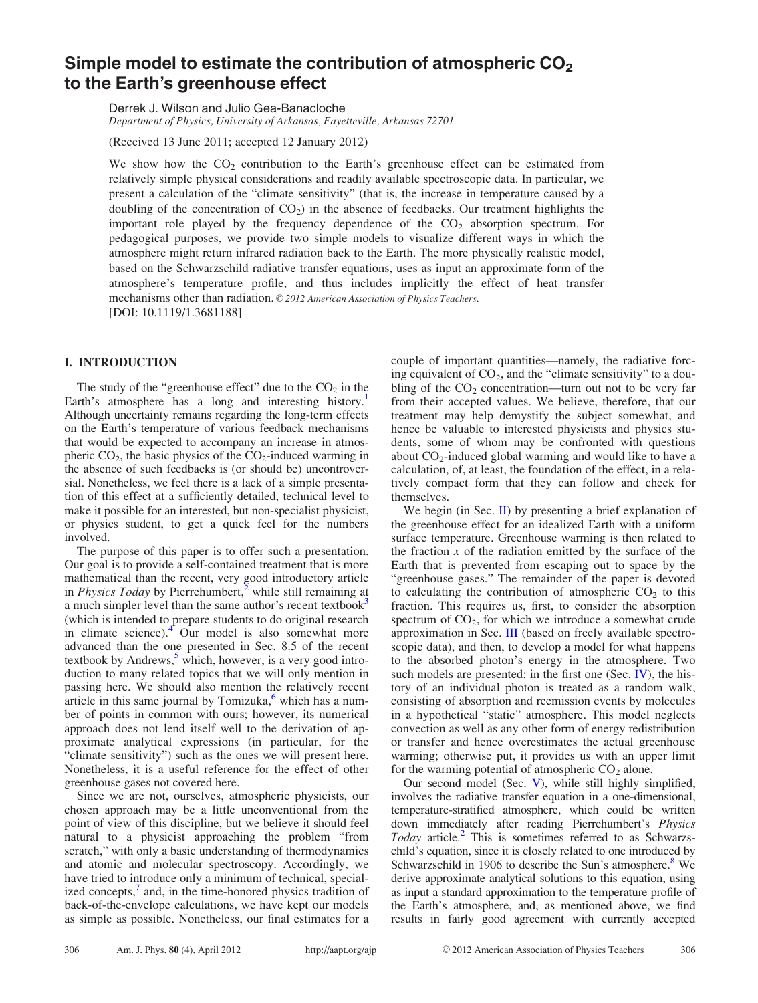# Simple model to estimate the contribution of atmospheric  $CO<sub>2</sub>$ to the Earth's greenhouse effect

Derrek J. Wilson and Julio Gea-Banacloche

Department of Physics, University of Arkansas, Fayetteville, Arkansas 72701

(Received 13 June 2011; accepted 12 January 2012)

We show how the  $CO<sub>2</sub>$  contribution to the Earth's greenhouse effect can be estimated from relatively simple physical considerations and readily available spectroscopic data. In particular, we present a calculation of the "climate sensitivity" (that is, the increase in temperature caused by a doubling of the concentration of  $CO<sub>2</sub>$ ) in the absence of feedbacks. Our treatment highlights the important role played by the frequency dependence of the  $CO<sub>2</sub>$  absorption spectrum. For pedagogical purposes, we provide two simple models to visualize different ways in which the atmosphere might return infrared radiation back to the Earth. The more physically realistic model, based on the Schwarzschild radiative transfer equations, uses as input an approximate form of the atmosphere's temperature profile, and thus includes implicitly the effect of heat transfer mechanisms other than radiation. © 2012 American Association of Physics Teachers. [DOI: 10.1119/1.3681188]

### I. INTRODUCTION

The study of the "greenhouse effect" due to the  $CO<sub>2</sub>$  in the Earth's atmosphere has a long and interesting history.<sup>1</sup> Although uncertainty remains regarding the long-term effects on the Earth's temperature of various feedback mechanisms that would be expected to accompany an increase in atmospheric  $CO<sub>2</sub>$ , the basic physics of the  $CO<sub>2</sub>$ -induced warming in the absence of such feedbacks is (or should be) uncontroversial. Nonetheless, we feel there is a lack of a simple presentation of this effect at a sufficiently detailed, technical level to make it possible for an interested, but non-specialist physicist, or physics student, to get a quick feel for the numbers involved.

The purpose of this paper is to offer such a presentation. Our goal is to provide a self-contained treatment that is more mathematical than the recent, very good introductory article in *Physics Today* by Pierrehumbert,<sup>[2](#page-8-0)</sup> while still remaining at a much simpler level than the same author's recent textbook $3$ (which is intended to prepare students to do original research in climate science). $^{4}$  $^{4}$  $^{4}$  Our model is also somewhat more advanced than the one presented in Sec. 8.5 of the recent textbook by Andrews, $5$  which, however, is a very good introduction to many related topics that we will only mention in passing here. We should also mention the relatively recent article in this same journal by  $Tomizuka$ , which has a number of points in common with ours; however, its numerical approach does not lend itself well to the derivation of approximate analytical expressions (in particular, for the "climate sensitivity") such as the ones we will present here. Nonetheless, it is a useful reference for the effect of other greenhouse gases not covered here.

Since we are not, ourselves, atmospheric physicists, our chosen approach may be a little unconventional from the point of view of this discipline, but we believe it should feel natural to a physicist approaching the problem "from scratch," with only a basic understanding of thermodynamics and atomic and molecular spectroscopy. Accordingly, we have tried to introduce only a minimum of technical, specialized concepts, $\frac{7}{1}$  and, in the time-honored physics tradition of back-of-the-envelope calculations, we have kept our models as simple as possible. Nonetheless, our final estimates for a

couple of important quantities—namely, the radiative forcing equivalent of  $CO<sub>2</sub>$ , and the "climate sensitivity" to a doubling of the  $CO<sub>2</sub>$  concentration—turn out not to be very far from their accepted values. We believe, therefore, that our treatment may help demystify the subject somewhat, and hence be valuable to interested physicists and physics students, some of whom may be confronted with questions about  $CO_2$ -induced global warming and would like to have a calculation, of, at least, the foundation of the effect, in a relatively compact form that they can follow and check for themselves.

We begin (in Sec. [II](#page-1-0)) by presenting a brief explanation of the greenhouse effect for an idealized Earth with a uniform surface temperature. Greenhouse warming is then related to the fraction  $x$  of the radiation emitted by the surface of the Earth that is prevented from escaping out to space by the "greenhouse gases." The remainder of the paper is devoted to calculating the contribution of atmospheric  $CO<sub>2</sub>$  to this fraction. This requires us, first, to consider the absorption spectrum of  $CO<sub>2</sub>$ , for which we introduce a somewhat crude approximation in Sec. [III](#page-2-0) (based on freely available spectroscopic data), and then, to develop a model for what happens to the absorbed photon's energy in the atmosphere. Two such models are presented: in the first one (Sec. [IV](#page-3-0)), the history of an individual photon is treated as a random walk, consisting of absorption and reemission events by molecules in a hypothetical "static" atmosphere. This model neglects convection as well as any other form of energy redistribution or transfer and hence overestimates the actual greenhouse warming; otherwise put, it provides us with an upper limit for the warming potential of atmospheric  $CO<sub>2</sub>$  alone.

Our second model (Sec. [V\)](#page-4-0), while still highly simplified, involves the radiative transfer equation in a one-dimensional, temperature-stratified atmosphere, which could be written down immediately after reading Pierrehumbert's Physics Today article.<sup>[2](#page-8-0)</sup> This is sometimes referred to as Schwarzschild's equation, since it is closely related to one introduced by Schwarzschild in 1906 to describe the Sun's atmosphere.<sup>[8](#page-8-0)</sup> We derive approximate analytical solutions to this equation, using as input a standard approximation to the temperature profile of the Earth's atmosphere, and, as mentioned above, we find results in fairly good agreement with currently accepted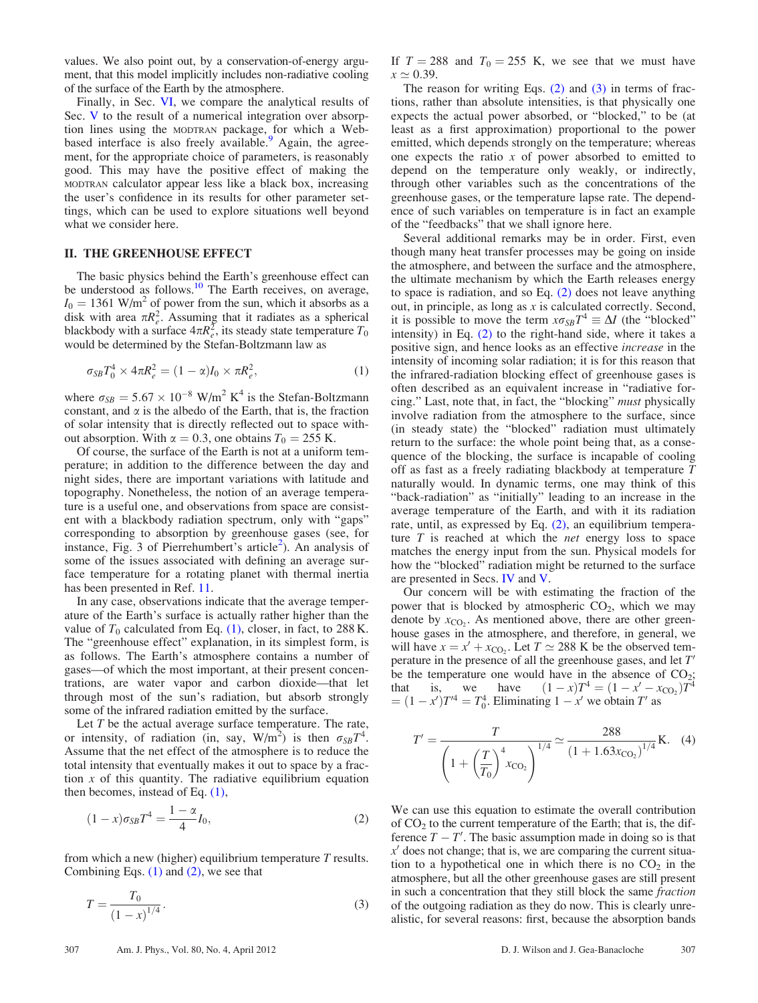<span id="page-1-0"></span>values. We also point out, by a conservation-of-energy argument, that this model implicitly includes non-radiative cooling of the surface of the Earth by the atmosphere.

Finally, in Sec. [VI,](#page-7-0) we compare the analytical results of Sec. [V](#page-4-0) to the result of a numerical integration over absorption lines using the MODTRAN package, for which a Web-based interface is also freely available.<sup>[9](#page-8-0)</sup> Again, the agreement, for the appropriate choice of parameters, is reasonably good. This may have the positive effect of making the MODTRAN calculator appear less like a black box, increasing the user's confidence in its results for other parameter settings, which can be used to explore situations well beyond what we consider here.

#### II. THE GREENHOUSE EFFECT

The basic physics behind the Earth's greenhouse effect can be understood as follows.<sup>[10](#page-9-0)</sup> The Earth receives, on average,  $I_0 = 1361$  W/m<sup>2</sup> of power from the sun, which it absorbs as a disk with area  $\pi R_e^2$ . Assuming that it radiates as a spherical blackbody with a surface  $4\pi R_e^2$ , its steady state temperature  $T_0$ would be determined by the Stefan-Boltzmann law as

$$
\sigma_{SB}T_0^4 \times 4\pi R_e^2 = (1 - \alpha)I_0 \times \pi R_e^2,\tag{1}
$$

where  $\sigma_{SB} = 5.67 \times 10^{-8}$  W/m<sup>2</sup> K<sup>4</sup> is the Stefan-Boltzmann constant, and  $\alpha$  is the albedo of the Earth, that is, the fraction of solar intensity that is directly reflected out to space without absorption. With  $\alpha = 0.3$ , one obtains  $T_0 = 255$  K.

Of course, the surface of the Earth is not at a uniform temperature; in addition to the difference between the day and night sides, there are important variations with latitude and topography. Nonetheless, the notion of an average temperature is a useful one, and observations from space are consistent with a blackbody radiation spectrum, only with "gaps" corresponding to absorption by greenhouse gases (see, for instance, Fig. 3 of Pierrehumbert's article<sup>[2](#page-8-0)</sup>). An analysis of some of the issues associated with defining an average surface temperature for a rotating planet with thermal inertia has been presented in Ref. [11](#page-9-0).

In any case, observations indicate that the average temperature of the Earth's surface is actually rather higher than the value of  $T_0$  calculated from Eq. (1), closer, in fact, to 288 K. The "greenhouse effect" explanation, in its simplest form, is as follows. The Earth's atmosphere contains a number of gases—of which the most important, at their present concentrations, are water vapor and carbon dioxide—that let through most of the sun's radiation, but absorb strongly some of the infrared radiation emitted by the surface.

Let  $T$  be the actual average surface temperature. The rate, or intensity, of radiation (in, say, W/m<sup>2</sup>) is then  $\sigma_{SB}T^4$ . Assume that the net effect of the atmosphere is to reduce the total intensity that eventually makes it out to space by a fraction  $x$  of this quantity. The radiative equilibrium equation then becomes, instead of Eq. (1),

$$
(1 - x)\sigma_{SB}T^4 = \frac{1 - \alpha}{4}I_0,\tag{2}
$$

from which a new (higher) equilibrium temperature  $T$  results. Combining Eqs.  $(1)$  and  $(2)$ , we see that

$$
T = \frac{T_0}{(1-x)^{1/4}}.\tag{3}
$$

If  $T = 288$  and  $T_0 = 255$  K, we see that we must have  $x \approx 0.39$ .

The reason for writing Eqs.  $(2)$  and  $(3)$  in terms of fractions, rather than absolute intensities, is that physically one expects the actual power absorbed, or "blocked," to be (at least as a first approximation) proportional to the power emitted, which depends strongly on the temperature; whereas one expects the ratio  $x$  of power absorbed to emitted to depend on the temperature only weakly, or indirectly, through other variables such as the concentrations of the greenhouse gases, or the temperature lapse rate. The dependence of such variables on temperature is in fact an example of the "feedbacks" that we shall ignore here.

Several additional remarks may be in order. First, even though many heat transfer processes may be going on inside the atmosphere, and between the surface and the atmosphere, the ultimate mechanism by which the Earth releases energy to space is radiation, and so Eq. (2) does not leave anything out, in principle, as long as  $x$  is calculated correctly. Second, it is possible to move the term  $x\sigma_{SB}T^4 \equiv \Delta T$  (the "blocked" intensity) in Eq. (2) to the right-hand side, where it takes a positive sign, and hence looks as an effective increase in the intensity of incoming solar radiation; it is for this reason that the infrared-radiation blocking effect of greenhouse gases is often described as an equivalent increase in "radiative forcing." Last, note that, in fact, the "blocking" must physically involve radiation from the atmosphere to the surface, since (in steady state) the "blocked" radiation must ultimately return to the surface: the whole point being that, as a consequence of the blocking, the surface is incapable of cooling off as fast as a freely radiating blackbody at temperature T naturally would. In dynamic terms, one may think of this "back-radiation" as "initially" leading to an increase in the average temperature of the Earth, and with it its radiation rate, until, as expressed by Eq. (2), an equilibrium temperature  $T$  is reached at which the *net* energy loss to space matches the energy input from the sun. Physical models for how the "blocked" radiation might be returned to the surface are presented in Secs. [IV](#page-3-0) and [V.](#page-4-0)

Our concern will be with estimating the fraction of the power that is blocked by atmospheric  $CO<sub>2</sub>$ , which we may denote by  $x_{\text{CO}}$ . As mentioned above, there are other greenhouse gases in the atmosphere, and therefore, in general, we will have  $x = x' + x_{CO_2}$ . Let  $T \simeq 288$  K be the observed temperature in the presence of all the greenhouse gases, and let  $T'$ be the temperature one would have in the absence of  $CO<sub>2</sub>$ ; that is, we have  $(1 - x)T^4 = (1 - x' - x_{CO_2})T^4$  $=(1-x')T'^4=T_0^4$ . Eliminating  $1-x'$  we obtain T' as

$$
T' = \frac{T}{\left(1 + \left(\frac{T}{T_0}\right)^4 x_{\text{CO}_2}\right)^{1/4}} \simeq \frac{288}{\left(1 + 1.63 x_{\text{CO}_2}\right)^{1/4}} \text{K. (4)}
$$

We can use this equation to estimate the overall contribution of  $CO<sub>2</sub>$  to the current temperature of the Earth; that is, the difference  $T - T'$ . The basic assumption made in doing so is that  $x<sup>7</sup>$  does not change; that is, we are comparing the current situation to a hypothetical one in which there is no  $CO<sub>2</sub>$  in the atmosphere, but all the other greenhouse gases are still present in such a concentration that they still block the same fraction of the outgoing radiation as they do now. This is clearly unrealistic, for several reasons: first, because the absorption bands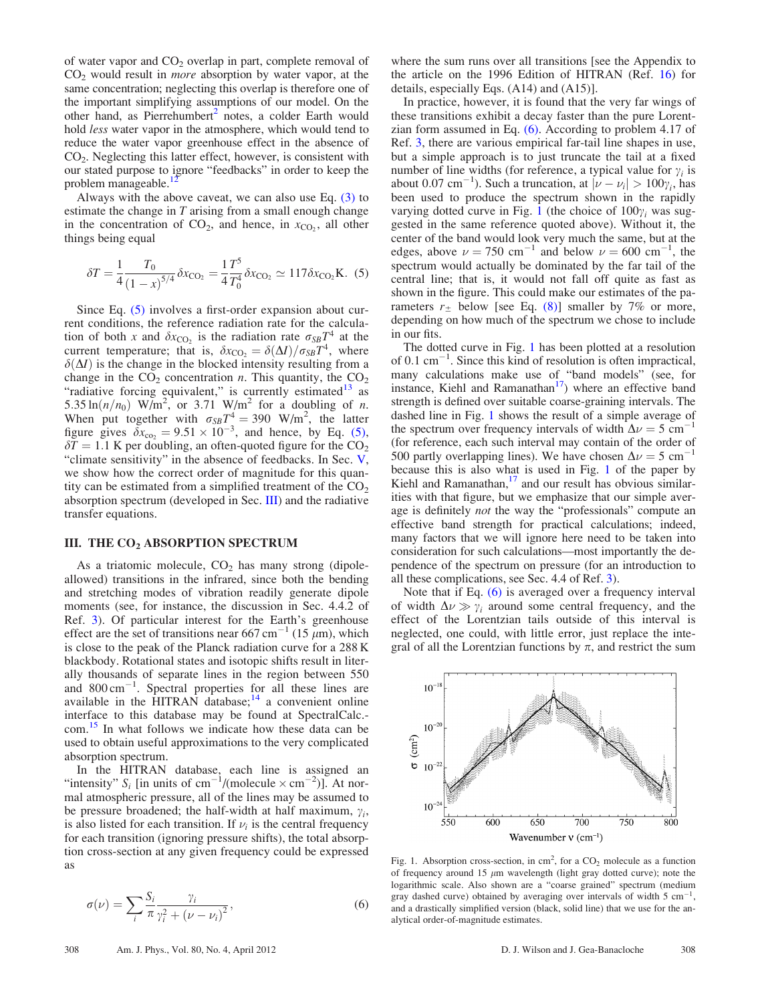<span id="page-2-0"></span>of water vapor and  $CO<sub>2</sub>$  overlap in part, complete removal of  $CO<sub>2</sub>$  would result in *more* absorption by water vapor, at the same concentration; neglecting this overlap is therefore one of the important simplifying assumptions of our model. On the other hand, as Pierrehumbert<sup>2</sup> notes, a colder Earth would hold less water vapor in the atmosphere, which would tend to reduce the water vapor greenhouse effect in the absence of CO2. Neglecting this latter effect, however, is consistent with our stated purpose to ignore "feedbacks" in order to keep the problem manageable.<sup>1</sup>

Always with the above caveat, we can also use Eq.  $(3)$  to estimate the change in  $T$  arising from a small enough change in the concentration of  $CO<sub>2</sub>$ , and hence, in  $x_{CO<sub>2</sub>}$ , all other things being equal

$$
\delta T = \frac{1}{4} \frac{T_0}{(1 - x)^{5/4}} \delta x_{\text{CO}_2} = \frac{1}{4} \frac{T^5}{T_0^4} \delta x_{\text{CO}_2} \simeq 117 \delta x_{\text{CO}_2} \text{K. (5)}
$$

Since Eq. (5) involves a first-order expansion about current conditions, the reference radiation rate for the calculation of both x and  $\delta x_{\text{CO}}$ , is the radiation rate  $\sigma_{SB}T^4$  at the current temperature; that is,  $\delta x_{CO_2} = \delta(\Delta I)/\sigma_{SB}T^4$ , where  $\delta(\Delta I)$  is the change in the blocked intensity resulting from a change in the  $CO<sub>2</sub>$  concentration *n*. This quantity, the  $CO<sub>2</sub>$ "radiative forcing equivalent," is currently estimated<sup>[13](#page-9-0)</sup> as 5.35 ln( $n/n_0$ ) W/m<sup>2</sup>, or 3.71 W/m<sup>2</sup> for a doubling of *n*. When put together with  $\sigma_{SB}T^4 = 390$  W/m<sup>2</sup>, the latter figure gives  $\delta x_{\text{co}_2} = 9.51 \times 10^{-3}$ , and hence, by Eq. (5),  $\delta T = 1.1$  K per doubling, an often-quoted figure for the CO<sub>2</sub> "climate sensitivity" in the absence of feedbacks. In Sec. [V](#page-4-0), we show how the correct order of magnitude for this quantity can be estimated from a simplified treatment of the  $CO<sub>2</sub>$ absorption spectrum (developed in Sec. III) and the radiative transfer equations.

#### III. THE CO<sub>2</sub> ABSORPTION SPECTRUM

As a triatomic molecule,  $CO<sub>2</sub>$  has many strong (dipoleallowed) transitions in the infrared, since both the bending and stretching modes of vibration readily generate dipole moments (see, for instance, the discussion in Sec. 4.4.2 of Ref. [3](#page-8-0)). Of particular interest for the Earth's greenhouse effect are the set of transitions near 667 cm<sup>-1</sup> (15  $\mu$ m), which is close to the peak of the Planck radiation curve for a 288 K blackbody. Rotational states and isotopic shifts result in literally thousands of separate lines in the region between 550 and  $800 \text{ cm}^{-1}$ . Spectral properties for all these lines are available in the HITRAN database; $^{14}$  $^{14}$  $^{14}$  a convenient online interface to this database may be found at SpectralCalc. com.[15](#page-9-0) In what follows we indicate how these data can be used to obtain useful approximations to the very complicated absorption spectrum.

In the HITRAN database, each line is assigned an "intensity"  $S_i$  [in units of cm<sup>-1</sup>/(molecule  $\times$  cm<sup>-2</sup>)]. At normal atmospheric pressure, all of the lines may be assumed to be pressure broadened; the half-width at half maximum,  $\gamma_i$ , is also listed for each transition. If  $\nu_i$  is the central frequency for each transition (ignoring pressure shifts), the total absorption cross-section at any given frequency could be expressed as

$$
\sigma(\nu) = \sum_{i} \frac{S_i}{\pi} \frac{\gamma_i}{\gamma_i^2 + (\nu - \nu_i)^2},\tag{6}
$$

where the sum runs over all transitions [see the Appendix to the article on the 1996 Edition of HITRAN (Ref. [16](#page-9-0)) for details, especially Eqs. (A14) and (A15)].

In practice, however, it is found that the very far wings of these transitions exhibit a decay faster than the pure Lorentzian form assumed in Eq.  $(6)$ . According to problem 4.17 of Ref. [3,](#page-8-0) there are various empirical far-tail line shapes in use, but a simple approach is to just truncate the tail at a fixed number of line widths (for reference, a typical value for  $\gamma_i$  is about 0.07 cm<sup>-1</sup>). Such a truncation, at  $|\nu - \nu_i| > 100\gamma_i$ , has been used to produce the spectrum shown in the rapidly varying dotted curve in Fig. 1 (the choice of  $100\gamma_i$  was suggested in the same reference quoted above). Without it, the center of the band would look very much the same, but at the edges, above  $\nu = 750 \text{ cm}^{-1}$  and below  $\nu = 600 \text{ cm}^{-1}$ , the spectrum would actually be dominated by the far tail of the central line; that is, it would not fall off quite as fast as shown in the figure. This could make our estimates of the parameters  $r_{\pm}$  below [see Eq. [\(8\)](#page-3-0)] smaller by 7% or more, depending on how much of the spectrum we chose to include in our fits.

The dotted curve in Fig. 1 has been plotted at a resolution of 0.1  $cm^{-1}$ . Since this kind of resolution is often impractical, many calculations make use of "band models" (see, for instance, Kiehl and Ramanathan<sup>17</sup>) where an effective band strength is defined over suitable coarse-graining intervals. The dashed line in Fig. 1 shows the result of a simple average of the spectrum over frequency intervals of width  $\Delta \nu = 5 \text{ cm}^{-1}$ (for reference, each such interval may contain of the order of 500 partly overlapping lines). We have chosen  $\Delta \nu = 5 \text{ cm}^{-1}$ because this is also what is used in Fig. 1 of the paper by Kiehl and Ramanathan, $17$  and our result has obvious similarities with that figure, but we emphasize that our simple average is definitely *not* the way the "professionals" compute an effective band strength for practical calculations; indeed, many factors that we will ignore here need to be taken into consideration for such calculations—most importantly the dependence of the spectrum on pressure (for an introduction to all these complications, see Sec. 4.4 of Ref. [3\)](#page-8-0).

Note that if Eq. (6) is averaged over a frequency interval of width  $\Delta \nu \gg \gamma_i$  around some central frequency, and the effect of the Lorentzian tails outside of this interval is neglected, one could, with little error, just replace the integral of all the Lorentzian functions by  $\pi$ , and restrict the sum



Fig. 1. Absorption cross-section, in cm<sup>2</sup>, for a  $CO<sub>2</sub>$  molecule as a function of frequency around 15  $\mu$ m wavelength (light gray dotted curve); note the logarithmic scale. Also shown are a "coarse grained" spectrum (medium gray dashed curve) obtained by averaging over intervals of width  $5 \text{ cm}^{-1}$ , and a drastically simplified version (black, solid line) that we use for the analytical order-of-magnitude estimates.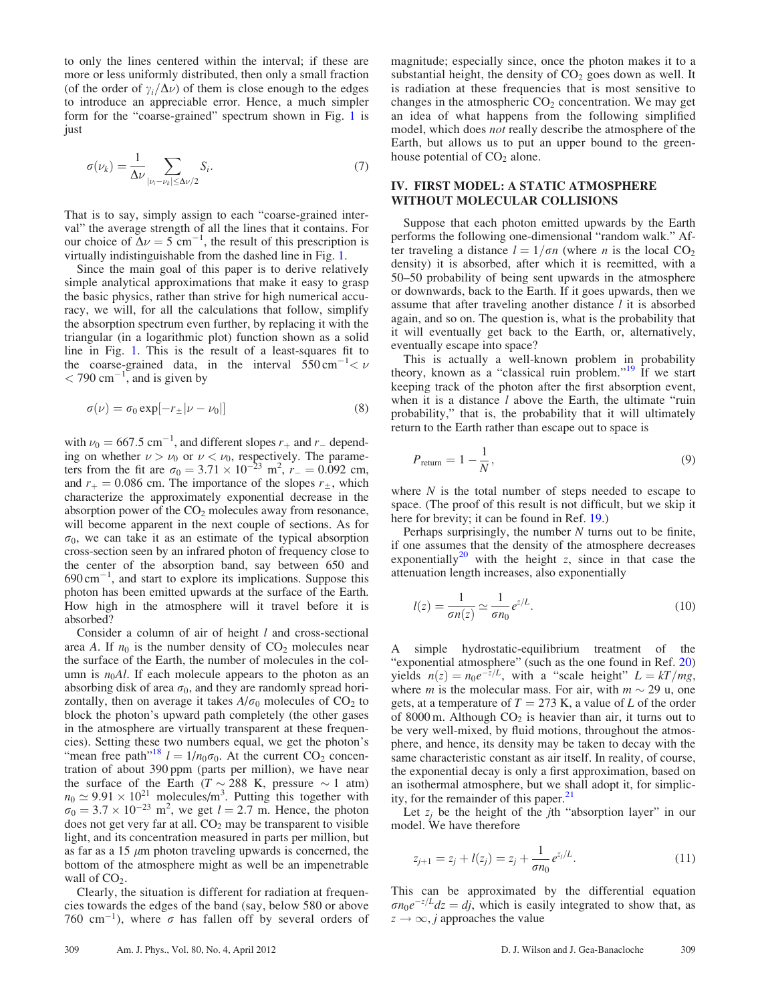<span id="page-3-0"></span>to only the lines centered within the interval; if these are more or less uniformly distributed, then only a small fraction (of the order of  $\gamma_i/\Delta \nu$ ) of them is close enough to the edges to introduce an appreciable error. Hence, a much simpler form for the "coarse-grained" spectrum shown in Fig. [1](#page-2-0) is just

$$
\sigma(\nu_k) = \frac{1}{\Delta \nu} \sum_{|\nu_i - \nu_k| \le \Delta \nu/2} S_i.
$$
\n(7)

That is to say, simply assign to each "coarse-grained interval" the average strength of all the lines that it contains. For our choice of  $\Delta \nu = 5 \text{ cm}^{-1}$ , the result of this prescription is virtually indistinguishable from the dashed line in Fig. [1](#page-2-0).

Since the main goal of this paper is to derive relatively simple analytical approximations that make it easy to grasp the basic physics, rather than strive for high numerical accuracy, we will, for all the calculations that follow, simplify the absorption spectrum even further, by replacing it with the triangular (in a logarithmic plot) function shown as a solid line in Fig. [1.](#page-2-0) This is the result of a least-squares fit to the coarse-grained data, in the interval  $550 \text{ cm}^{-1} < \nu$  $<$  790 cm<sup>-1</sup>, and is given by

$$
\sigma(\nu) = \sigma_0 \exp[-r_{\pm}|\nu - \nu_0|] \tag{8}
$$

with  $\nu_0 = 667.5 \text{ cm}^{-1}$ , and different slopes  $r_+$  and  $r_-$  depending on whether  $\nu > \nu_0$  or  $\nu < \nu_0$ , respectively. The parameters from the fit are  $\sigma_0 = 3.71 \times 10^{-23}$  m<sup>2</sup>,  $r_- = 0.092$  cm, and  $r_+ = 0.086$  cm. The importance of the slopes  $r_{\pm}$ , which characterize the approximately exponential decrease in the absorption power of the  $CO<sub>2</sub>$  molecules away from resonance, will become apparent in the next couple of sections. As for  $\sigma_0$ , we can take it as an estimate of the typical absorption cross-section seen by an infrared photon of frequency close to the center of the absorption band, say between 650 and  $690 \text{ cm}^{-1}$ , and start to explore its implications. Suppose this photon has been emitted upwards at the surface of the Earth. How high in the atmosphere will it travel before it is absorbed?

Consider a column of air of height  $l$  and cross-sectional area A. If  $n_0$  is the number density of  $CO_2$  molecules near the surface of the Earth, the number of molecules in the column is  $n_0$ Al. If each molecule appears to the photon as an absorbing disk of area  $\sigma_0$ , and they are randomly spread horizontally, then on average it takes  $A/\sigma_0$  molecules of CO<sub>2</sub> to block the photon's upward path completely (the other gases in the atmosphere are virtually transparent at these frequencies). Setting these two numbers equal, we get the photon's "mean free path"<sup>[18](#page-9-0)</sup>  $l = 1/n_0\sigma_0$ . At the current CO<sub>2</sub> concentration of about 390 ppm (parts per million), we have near the surface of the Earth ( $T \sim 288$  K, pressure  $\sim 1$  atm)  $n_0 \simeq 9.91 \times 10^{21}$  molecules/m<sup>3</sup>. Putting this together with  $\sigma_0 = 3.7 \times 10^{-23}$  m<sup>2</sup>, we get  $l = 2.7$  m. Hence, the photon does not get very far at all.  $CO<sub>2</sub>$  may be transparent to visible light, and its concentration measured in parts per million, but as far as a 15  $\mu$ m photon traveling upwards is concerned, the bottom of the atmosphere might as well be an impenetrable wall of  $CO<sub>2</sub>$ .

Clearly, the situation is different for radiation at frequencies towards the edges of the band (say, below 580 or above 760 cm<sup>-1</sup>), where  $\sigma$  has fallen off by several orders of magnitude; especially since, once the photon makes it to a substantial height, the density of  $CO<sub>2</sub>$  goes down as well. It is radiation at these frequencies that is most sensitive to changes in the atmospheric  $CO<sub>2</sub>$  concentration. We may get an idea of what happens from the following simplified model, which does *not* really describe the atmosphere of the Earth, but allows us to put an upper bound to the greenhouse potential of  $CO<sub>2</sub>$  alone.

# IV. FIRST MODEL: A STATIC ATMOSPHERE WITHOUT MOLECULAR COLLISIONS

Suppose that each photon emitted upwards by the Earth performs the following one-dimensional "random walk." After traveling a distance  $l = 1/\sigma n$  (where *n* is the local CO<sub>2</sub> density) it is absorbed, after which it is reemitted, with a 50–50 probability of being sent upwards in the atmosphere or downwards, back to the Earth. If it goes upwards, then we assume that after traveling another distance *l* it is absorbed again, and so on. The question is, what is the probability that it will eventually get back to the Earth, or, alternatively, eventually escape into space?

This is actually a well-known problem in probability theory, known as a "classical ruin problem."<sup>[19](#page-9-0)</sup> If we start keeping track of the photon after the first absorption event, when it is a distance  $l$  above the Earth, the ultimate "ruin probability," that is, the probability that it will ultimately return to the Earth rather than escape out to space is

$$
P_{\text{return}} = 1 - \frac{1}{N},\tag{9}
$$

where  $N$  is the total number of steps needed to escape to space. (The proof of this result is not difficult, but we skip it here for brevity; it can be found in Ref. [19](#page-9-0).)

Perhaps surprisingly, the number  $N$  turns out to be finite, if one assumes that the density of the atmosphere decreases exponentially<sup>[20](#page-9-0)</sup> with the height z, since in that case the attenuation length increases, also exponentially

$$
l(z) = \frac{1}{\sigma n(z)} \simeq \frac{1}{\sigma n_0} e^{z/L}.
$$
 (10)

A simple hydrostatic-equilibrium treatment of the "exponential atmosphere" (such as the one found in Ref. [20\)](#page-9-0) yields  $n(z) = n_0e^{-z/L}$ , with a "scale height"  $L = kT/mg$ , where *m* is the molecular mass. For air, with  $m \sim 29$  u, one gets, at a temperature of  $T = 273$  K, a value of L of the order of 8000 m. Although  $CO<sub>2</sub>$  is heavier than air, it turns out to be very well-mixed, by fluid motions, throughout the atmosphere, and hence, its density may be taken to decay with the same characteristic constant as air itself. In reality, of course, the exponential decay is only a first approximation, based on an isothermal atmosphere, but we shall adopt it, for simplicity, for the remainder of this paper. $^{21}$  $^{21}$  $^{21}$ 

Let  $z_i$  be the height of the *j*th "absorption layer" in our model. We have therefore

$$
z_{j+1} = z_j + l(z_j) = z_j + \frac{1}{\sigma n_0} e^{z_j/L}.
$$
 (11)

This can be approximated by the differential equation  $\sigma n_0 e^{-z/L} dz = dj$ , which is easily integrated to show that, as  $z \rightarrow \infty$ , *j* approaches the value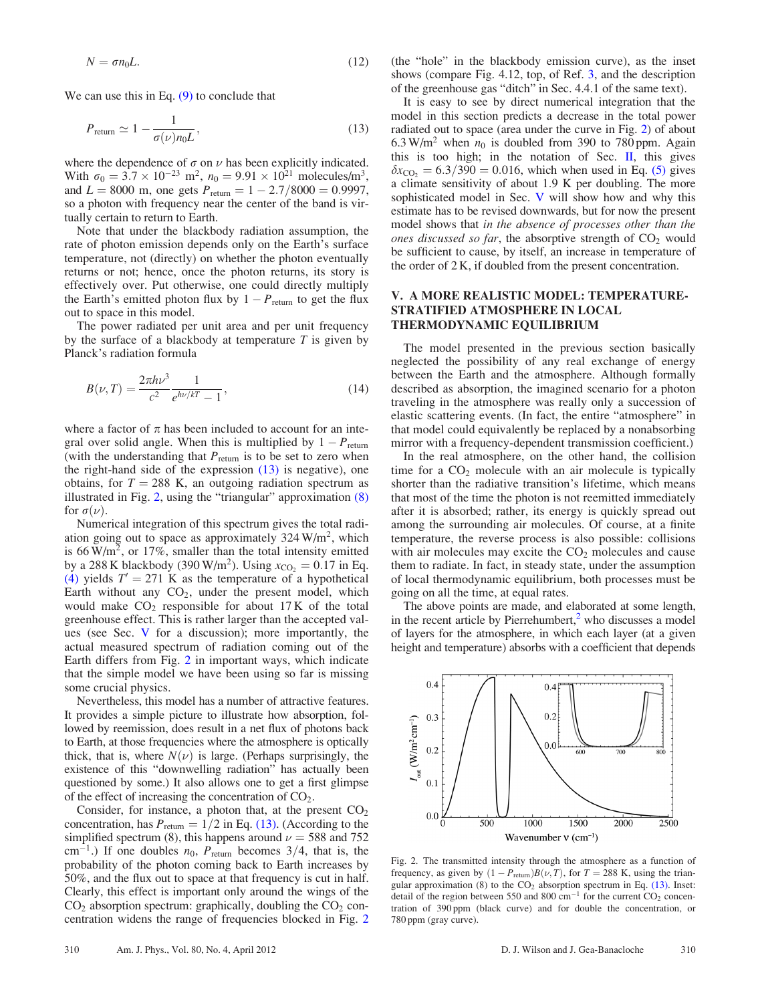<span id="page-4-0"></span>
$$
N = \sigma n_0 L. \tag{12}
$$

We can use this in Eq.  $(9)$  to conclude that

$$
P_{\text{return}} \simeq 1 - \frac{1}{\sigma(\nu)n_0L},\tag{13}
$$

where the dependence of  $\sigma$  on  $\nu$  has been explicitly indicated. With  $\sigma_0 = 3.7 \times 10^{-23}$  m<sup>2</sup>,  $n_0 = 9.91 \times 10^{21}$  molecules/m<sup>3</sup>, and  $L = 8000$  m, one gets  $P_{\text{return}} = 1 - 2.7/8000 = 0.9997$ , so a photon with frequency near the center of the band is virtually certain to return to Earth.

Note that under the blackbody radiation assumption, the rate of photon emission depends only on the Earth's surface temperature, not (directly) on whether the photon eventually returns or not; hence, once the photon returns, its story is effectively over. Put otherwise, one could directly multiply the Earth's emitted photon flux by  $1 - P_{return}$  to get the flux out to space in this model.

The power radiated per unit area and per unit frequency by the surface of a blackbody at temperature  $T$  is given by Planck's radiation formula

$$
B(\nu, T) = \frac{2\pi h\nu^3}{c^2} \frac{1}{e^{h\nu/kT} - 1},
$$
\n(14)

where a factor of  $\pi$  has been included to account for an integral over solid angle. When this is multiplied by  $1 - P_{return}$ (with the understanding that  $P_{return}$  is to be set to zero when the right-hand side of the expression  $(13)$  is negative), one obtains, for  $T = 288$  K, an outgoing radiation spectrum as illustrated in Fig. 2, using the "triangular" approximation [\(8\)](#page-3-0) for  $\sigma(\nu)$ .

Numerical integration of this spectrum gives the total radiation going out to space as approximately  $324 \text{ W/m}^2$ , which is 66 W/m<sup>2</sup>, or 17%, smaller than the total intensity emitted by a 288 K blackbody (390 W/m<sup>2</sup>). Using  $x_{CO_2} = 0.17$  in Eq. [\(4\)](#page-1-0) yields  $T' = 271$  K as the temperature of a hypothetical Earth without any  $CO<sub>2</sub>$ , under the present model, which would make  $CO<sub>2</sub>$  responsible for about 17 K of the total greenhouse effect. This is rather larger than the accepted values (see Sec. V for a discussion); more importantly, the actual measured spectrum of radiation coming out of the Earth differs from Fig. 2 in important ways, which indicate that the simple model we have been using so far is missing some crucial physics.

Nevertheless, this model has a number of attractive features. It provides a simple picture to illustrate how absorption, followed by reemission, does result in a net flux of photons back to Earth, at those frequencies where the atmosphere is optically thick, that is, where  $N(\nu)$  is large. (Perhaps surprisingly, the existence of this "downwelling radiation" has actually been questioned by some.) It also allows one to get a first glimpse of the effect of increasing the concentration of  $CO<sub>2</sub>$ .

Consider, for instance, a photon that, at the present  $CO<sub>2</sub>$ concentration, has  $P_{\text{return}} = 1/2$  in Eq. (13). (According to the simplified spectrum (8), this happens around  $\nu = 588$  and 752 cm<sup>-1</sup>.) If one doubles  $n_0$ ,  $P_{return}$  becomes 3/4, that is, the probability of the photon coming back to Earth increases by 50%, and the flux out to space at that frequency is cut in half. Clearly, this effect is important only around the wings of the  $CO<sub>2</sub>$  absorption spectrum: graphically, doubling the  $CO<sub>2</sub>$  concentration widens the range of frequencies blocked in Fig. 2 (the "hole" in the blackbody emission curve), as the inset shows (compare Fig. 4.12, top, of Ref. [3,](#page-8-0) and the description of the greenhouse gas "ditch" in Sec. 4.4.1 of the same text).

It is easy to see by direct numerical integration that the model in this section predicts a decrease in the total power radiated out to space (area under the curve in Fig. 2) of about 6.3 W/m<sup>2</sup> when  $n_0$  is doubled from 390 to 780 ppm. Again this is too high; in the notation of Sec.  $II$ , this gives  $\delta x_{\text{CO}_2} = 6.3/390 = 0.016$ , which when used in Eq. [\(5\)](#page-2-0) gives a climate sensitivity of about 1:9 K per doubling. The more sophisticated model in Sec. V will show how and why this estimate has to be revised downwards, but for now the present model shows that in the absence of processes other than the ones discussed so far, the absorptive strength of  $CO<sub>2</sub>$  would be sufficient to cause, by itself, an increase in temperature of the order of 2 K, if doubled from the present concentration.

# V. A MORE REALISTIC MODEL: TEMPERATURE-STRATIFIED ATMOSPHERE IN LOCAL THERMODYNAMIC EQUILIBRIUM

The model presented in the previous section basically neglected the possibility of any real exchange of energy between the Earth and the atmosphere. Although formally described as absorption, the imagined scenario for a photon traveling in the atmosphere was really only a succession of elastic scattering events. (In fact, the entire "atmosphere" in that model could equivalently be replaced by a nonabsorbing mirror with a frequency-dependent transmission coefficient.)

In the real atmosphere, on the other hand, the collision time for a  $CO<sub>2</sub>$  molecule with an air molecule is typically shorter than the radiative transition's lifetime, which means that most of the time the photon is not reemitted immediately after it is absorbed; rather, its energy is quickly spread out among the surrounding air molecules. Of course, at a finite temperature, the reverse process is also possible: collisions with air molecules may excite the  $CO<sub>2</sub>$  molecules and cause them to radiate. In fact, in steady state, under the assumption of local thermodynamic equilibrium, both processes must be going on all the time, at equal rates.

The above points are made, and elaborated at some length, in the recent article by Pierrehumbert, $<sup>2</sup>$  who discusses a model</sup> of layers for the atmosphere, in which each layer (at a given height and temperature) absorbs with a coefficient that depends



Fig. 2. The transmitted intensity through the atmosphere as a function of frequency, as given by  $(1 - P_{return})B(\nu, T)$ , for  $T = 288$  K, using the triangular approximation (8) to the  $CO<sub>2</sub>$  absorption spectrum in Eq. (13). Inset: detail of the region between 550 and 800  $cm^{-1}$  for the current  $CO<sub>2</sub>$  concentration of 390 ppm (black curve) and for double the concentration, or 780 ppm (gray curve).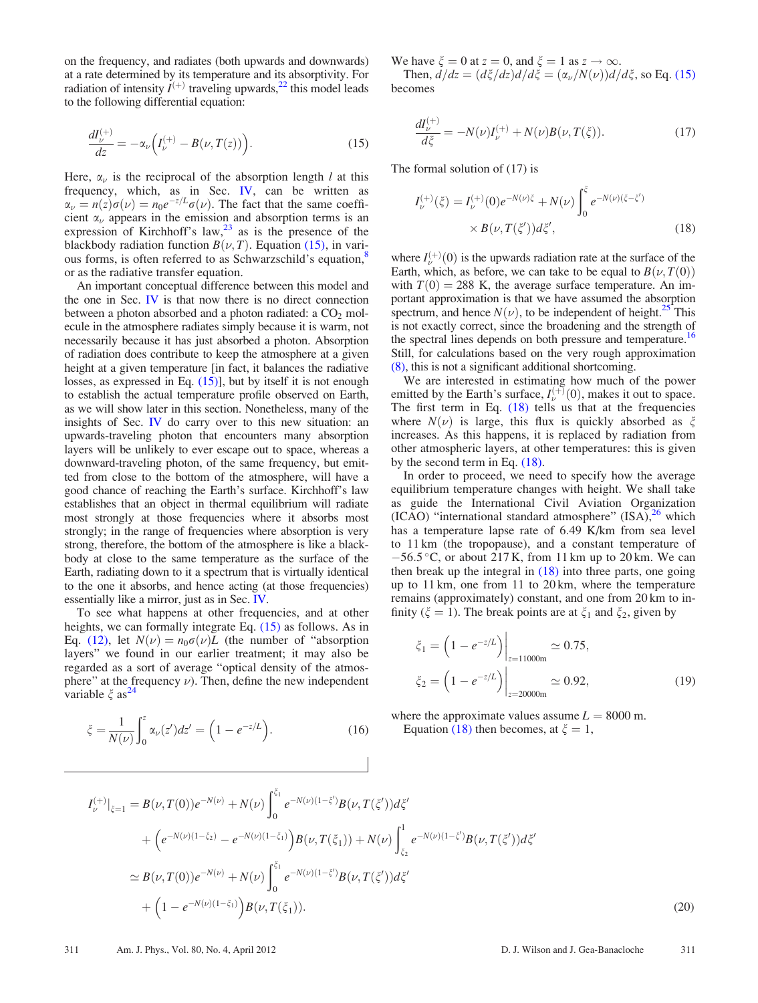<span id="page-5-0"></span>on the frequency, and radiates (both upwards and downwards) at a rate determined by its temperature and its absorptivity. For radiation of intensity  $I^{(+)}$  traveling upwards,<sup>[22](#page-9-0)</sup> this model leads to the following differential equation:

$$
\frac{dI_{\nu}^{(+)}}{dz} = -\alpha_{\nu} \Big( I_{\nu}^{(+)} - B(\nu, T(z)) \Big). \tag{15}
$$

Here,  $\alpha_{\nu}$  is the reciprocal of the absorption length *l* at this frequency, which, as in Sec. [IV](#page-3-0), can be written as  $\alpha_{\nu} = n(z)\sigma(\nu) = n_0e^{-z/L}\sigma(\nu)$ . The fact that the same coefficient  $\alpha_{\nu}$  appears in the emission and absorption terms is an expression of Kirchhoff's law, $^{23}$  $^{23}$  $^{23}$  as is the presence of the blackbody radiation function  $B(\nu, T)$ . Equation (15), in various forms, is often referred to as Schwarzschild's equation,<sup>8</sup> or as the radiative transfer equation.

An important conceptual difference between this model and the one in Sec. [IV](#page-3-0) is that now there is no direct connection between a photon absorbed and a photon radiated: a  $CO<sub>2</sub>$  molecule in the atmosphere radiates simply because it is warm, not necessarily because it has just absorbed a photon. Absorption of radiation does contribute to keep the atmosphere at a given height at a given temperature [in fact, it balances the radiative losses, as expressed in Eq. (15)], but by itself it is not enough to establish the actual temperature profile observed on Earth, as we will show later in this section. Nonetheless, many of the insights of Sec. [IV](#page-3-0) do carry over to this new situation: an upwards-traveling photon that encounters many absorption layers will be unlikely to ever escape out to space, whereas a downward-traveling photon, of the same frequency, but emitted from close to the bottom of the atmosphere, will have a good chance of reaching the Earth's surface. Kirchhoff's law establishes that an object in thermal equilibrium will radiate most strongly at those frequencies where it absorbs most strongly; in the range of frequencies where absorption is very strong, therefore, the bottom of the atmosphere is like a blackbody at close to the same temperature as the surface of the Earth, radiating down to it a spectrum that is virtually identical to the one it absorbs, and hence acting (at those frequencies) essentially like a mirror, just as in Sec. [IV.](#page-3-0)

To see what happens at other frequencies, and at other heights, we can formally integrate Eq.  $(15)$  as follows. As in Eq. [\(12\)](#page-4-0), let  $N(\nu) = n_0 \sigma(\nu) L$  (the number of "absorption" layers" we found in our earlier treatment; it may also be regarded as a sort of average "optical density of the atmosphere" at the frequency  $\nu$ ). Then, define the new independent variable  $\xi$  as<sup>[24](#page-9-0)</sup>

$$
\xi = \frac{1}{N(\nu)} \int_0^z \alpha_{\nu}(z') dz' = \left(1 - e^{-z/L}\right). \tag{16}
$$

We have  $\xi = 0$  at  $z = 0$ , and  $\xi = 1$  as  $z \to \infty$ .

Then,  $d/dz = (d\zeta/dz)d/d\zeta = (\alpha_{\nu}/N(\nu))d/d\zeta$ , so Eq. (15) becomes

$$
\frac{dI_{\nu}^{(+)}}{d\xi} = -N(\nu)I_{\nu}^{(+)} + N(\nu)B(\nu, T(\xi)).
$$
\n(17)

The formal solution of (17) is

$$
I_{\nu}^{(+)}(\xi) = I_{\nu}^{(+)}(0)e^{-N(\nu)\xi} + N(\nu)\int_{0}^{\xi}e^{-N(\nu)(\xi - \xi')}
$$

$$
\times B(\nu, T(\xi'))d\xi',
$$
(18)

where  $I_{\nu}^{(+)}(0)$  is the upwards radiation rate at the surface of the Earth, which, as before, we can take to be equal to  $B(\nu, T(0))$ with  $T(0) = 288$  K, the average surface temperature. An important approximation is that we have assumed the absorption spectrum, and hence  $N(\nu)$ , to be independent of height.<sup>[25](#page-9-0)</sup> This is not exactly correct, since the broadening and the strength of the spectral lines depends on both pressure and temperature.<sup>[16](#page-9-0)</sup> Still, for calculations based on the very rough approximation [\(8\)](#page-3-0), this is not a significant additional shortcoming.

We are interested in estimating how much of the power emitted by the Earth's surface,  $I_{\nu}^{(+)}(0)$ , makes it out to space. The first term in Eq.  $(18)$  tells us that at the frequencies where  $N(\nu)$  is large, this flux is quickly absorbed as  $\xi$ increases. As this happens, it is replaced by radiation from other atmospheric layers, at other temperatures: this is given by the second term in Eq. (18).

In order to proceed, we need to specify how the average equilibrium temperature changes with height. We shall take as guide the International Civil Aviation Organization  $(ICAO)$  "international standard atmosphere"  $(ISA)$ ,  $26$  which has a temperature lapse rate of 6:49 K/km from sea level to 11 km (the tropopause), and a constant temperature of  $-56.5$  °C, or about 217 K, from 11 km up to 20 km. We can then break up the integral in  $(18)$  into three parts, one going up to 11 km, one from 11 to 20 km, where the temperature remains (approximately) constant, and one from 20 km to infinity ( $\xi = 1$ ). The break points are at  $\xi_1$  and  $\xi_2$ , given by

$$
\xi_1 = \left(1 - e^{-z/L}\right)\Big|_{z=11000\text{m}} \simeq 0.75,
$$
\n
$$
\xi_2 = \left(1 - e^{-z/L}\right)\Big|_{z=20000\text{m}} \simeq 0.92,\tag{19}
$$

where the approximate values assume  $L = 8000$  m. Equation (18) then becomes, at  $\xi = 1$ ,

$$
I_{\nu}^{(+)}|_{\xi=1} = B(\nu, T(0))e^{-N(\nu)} + N(\nu)\int_{0}^{\xi_{1}} e^{-N(\nu)(1-\xi')}B(\nu, T(\xi'))d\xi'
$$
  
+ 
$$
\left(e^{-N(\nu)(1-\xi_{2})} - e^{-N(\nu)(1-\xi_{1})}\right)B(\nu, T(\xi_{1})) + N(\nu)\int_{\xi_{2}}^{1} e^{-N(\nu)(1-\xi')}B(\nu, T(\xi'))d\xi'
$$
  

$$
\simeq B(\nu, T(0))e^{-N(\nu)} + N(\nu)\int_{0}^{\xi_{1}} e^{-N(\nu)(1-\xi')}B(\nu, T(\xi'))d\xi'
$$
  
+ 
$$
\left(1 - e^{-N(\nu)(1-\xi_{1})}\right)B(\nu, T(\xi_{1})).
$$
 (20)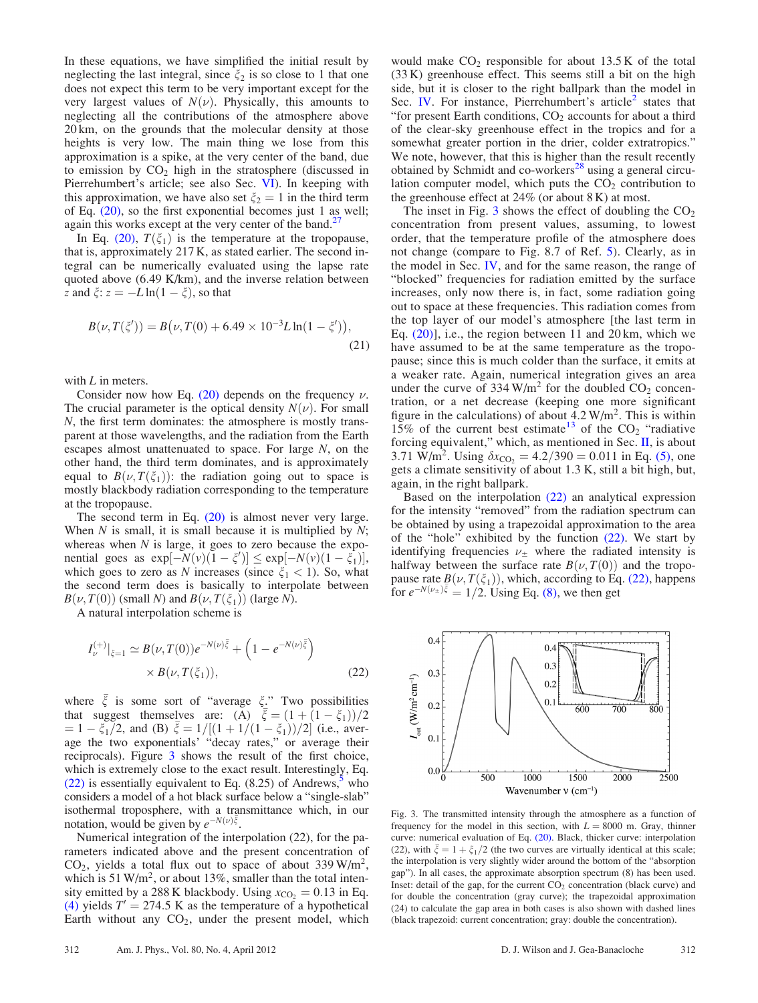<span id="page-6-0"></span>In these equations, we have simplified the initial result by neglecting the last integral, since  $\xi_2$  is so close to 1 that one does not expect this term to be very important except for the very largest values of  $N(\nu)$ . Physically, this amounts to neglecting all the contributions of the atmosphere above 20 km, on the grounds that the molecular density at those heights is very low. The main thing we lose from this approximation is a spike, at the very center of the band, due to emission by  $CO<sub>2</sub>$  high in the stratosphere (discussed in Pierrehumbert's article; see also Sec. [VI\)](#page-7-0). In keeping with this approximation, we have also set  $\xi_2 = 1$  in the third term of Eq. [\(20\),](#page-5-0) so the first exponential becomes just 1 as well; again this works except at the very center of the band.<sup>2</sup>

In Eq. [\(20\)](#page-5-0),  $T(\xi_1)$  is the temperature at the tropopause, that is, approximately 217 K, as stated earlier. The second integral can be numerically evaluated using the lapse rate quoted above (6:49 K/km), and the inverse relation between z and  $\xi$ :  $z = -L \ln(1 - \xi)$ , so that

$$
B(\nu, T(\xi')) = B(\nu, T(0) + 6.49 \times 10^{-3} L \ln(1 - \xi')), \tag{21}
$$

with  $L$  in meters.

Consider now how Eq.  $(20)$  depends on the frequency  $\nu$ . The crucial parameter is the optical density  $N(\nu)$ . For small N, the first term dominates: the atmosphere is mostly transparent at those wavelengths, and the radiation from the Earth escapes almost unattenuated to space. For large N, on the other hand, the third term dominates, and is approximately equal to  $B(\nu, T(\xi_1))$ : the radiation going out to space is mostly blackbody radiation corresponding to the temperature at the tropopause.

The second term in Eq. [\(20\)](#page-5-0) is almost never very large. When  $N$  is small, it is small because it is multiplied by  $N$ ; whereas when  $N$  is large, it goes to zero because the exponential goes as  $\exp[-N(v)(1-\xi')] \leq \exp[-N(v)(1-\xi_1)],$ which goes to zero as N increases (since  $\xi_1 < 1$ ). So, what the second term does is basically to interpolate between  $B(\nu, T(0))$  (small N) and  $B(\nu, T(\xi_1))$  (large N).

A natural interpolation scheme is

$$
I_{\nu}^{(+)}|_{\xi=1} \simeq B(\nu, T(0))e^{-N(\nu)\bar{\xi}} + \left(1 - e^{-N(\nu)\bar{\xi}}\right) \times B(\nu, T(\xi_1)),
$$
\n(22)

where  $\bar{\xi}$  is some sort of "average  $\xi$ ." Two possibilities that suggest themselves are:  $(A)$   $\overline{\xi} = (1 + (1 - \xi_1))/2$  $= 1 - \xi_1/2$ , and (B)  $\bar{\xi} = 1/[(1 + 1/(1 - \xi_1))/2]$  (i.e., average the two exponentials' "decay rates," or average their reciprocals). Figure 3 shows the result of the first choice, which is extremely close to the exact result. Interestingly, Eq. (22) is essentially equivalent to Eq.  $(8.25)$  of Andrews,<sup>5</sup> who considers a model of a hot black surface below a "single-slab" isothermal troposphere, with a transmittance which, in our notation, would be given by  $e^{-N(\nu)\bar{\xi}}$ .

Numerical integration of the interpolation (22), for the parameters indicated above and the present concentration of  $CO<sub>2</sub>$ , yields a total flux out to space of about 339 W/m<sup>2</sup>, which is 51 W/m<sup>2</sup>, or about 13%, smaller than the total intensity emitted by a 288 K blackbody. Using  $x_{CO_2} = 0.13$  in Eq. [\(4\)](#page-1-0) yields  $T' = 274.5$  K as the temperature of a hypothetical Earth without any  $CO<sub>2</sub>$ , under the present model, which

would make  $CO<sub>2</sub>$  responsible for about 13.5 K of the total (33 K) greenhouse effect. This seems still a bit on the high side, but it is closer to the right ballpark than the model in Sec. [IV.](#page-3-0) For instance, Pierrehumbert's article<sup>[2](#page-8-0)</sup> states that "for present Earth conditions,  $CO<sub>2</sub>$  accounts for about a third of the clear-sky greenhouse effect in the tropics and for a somewhat greater portion in the drier, colder extratropics." We note, however, that this is higher than the result recently obtained by Schmidt and co-workers<sup>[28](#page-9-0)</sup> using a general circulation computer model, which puts the  $CO<sub>2</sub>$  contribution to the greenhouse effect at 24% (or about 8 K) at most.

The inset in Fig. 3 shows the effect of doubling the  $CO<sub>2</sub>$ concentration from present values, assuming, to lowest order, that the temperature profile of the atmosphere does not change (compare to Fig. 8.7 of Ref. [5](#page-8-0)). Clearly, as in the model in Sec. [IV](#page-3-0), and for the same reason, the range of "blocked" frequencies for radiation emitted by the surface increases, only now there is, in fact, some radiation going out to space at these frequencies. This radiation comes from the top layer of our model's atmosphere [the last term in Eq.  $(20)$ ], i.e., the region between 11 and 20 km, which we have assumed to be at the same temperature as the tropopause; since this is much colder than the surface, it emits at a weaker rate. Again, numerical integration gives an area under the curve of  $334 \text{ W/m}^2$  for the doubled  $CO_2$  concentration, or a net decrease (keeping one more significant figure in the calculations) of about  $4.2 \text{ W/m}^2$ . This is within 15% of the current best estimate<sup>[13](#page-9-0)</sup> of the  $CO<sub>2</sub>$  "radiative" forcing equivalent," which, as mentioned in Sec. [II,](#page-1-0) is about 3.71 W/m<sup>2</sup>. Using  $\delta x_{\text{CO}_2} = 4.2/390 = 0.011$  in Eq. [\(5\),](#page-2-0) one gets a climate sensitivity of about 1:3 K, still a bit high, but, again, in the right ballpark.

Based on the interpolation (22) an analytical expression for the intensity "removed" from the radiation spectrum can be obtained by using a trapezoidal approximation to the area of the "hole" exhibited by the function  $(22)$ . We start by identifying frequencies  $\nu_{\pm}$  where the radiated intensity is halfway between the surface rate  $B(\nu, T(0))$  and the tropopause rate  $B(\nu, T(\xi_1))$ , which, according to Eq. (22), happens for  $e^{-N(\nu_{\pm})\bar{\xi}} = 1/2$ . Using Eq. [\(8\)](#page-3-0), we then get



Fig. 3. The transmitted intensity through the atmosphere as a function of frequency for the model in this section, with  $L = 8000$  m. Gray, thinner curve: numerical evaluation of Eq. [\(20\)](#page-5-0). Black, thicker curve: interpolation (22), with  $\bar{\xi} = 1 + \xi_1/2$  (the two curves are virtually identical at this scale; the interpolation is very slightly wider around the bottom of the "absorption gap"). In all cases, the approximate absorption spectrum (8) has been used. Inset: detail of the gap, for the current  $CO<sub>2</sub>$  concentration (black curve) and for double the concentration (gray curve); the trapezoidal approximation (24) to calculate the gap area in both cases is also shown with dashed lines (black trapezoid: current concentration; gray: double the concentration).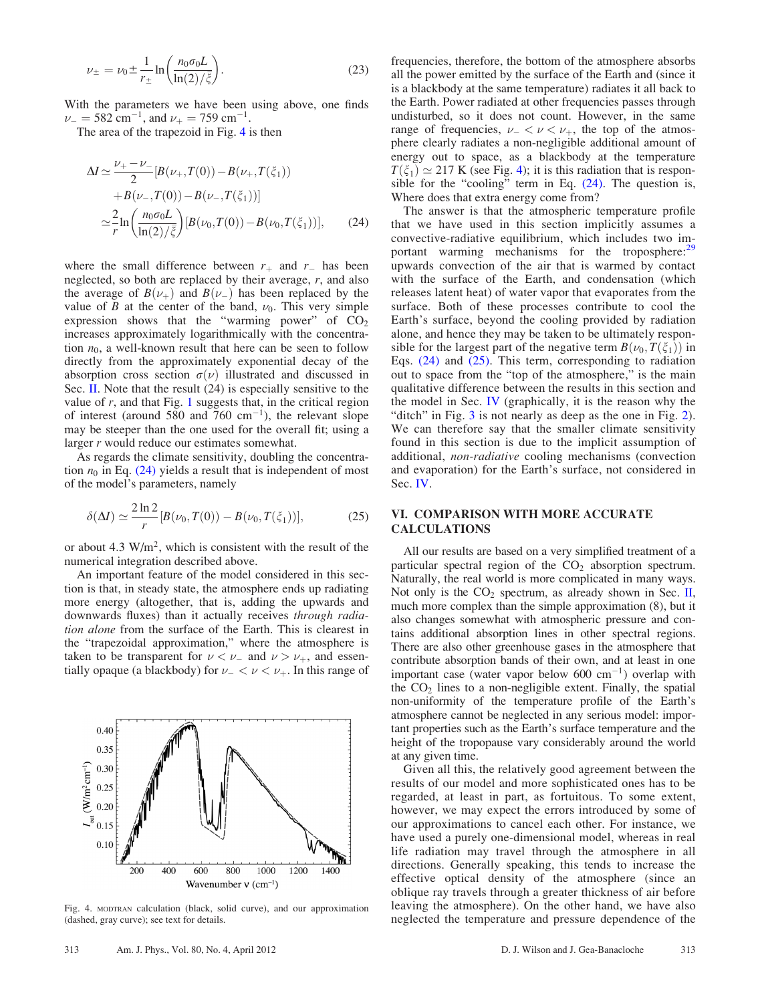<span id="page-7-0"></span>
$$
\nu_{\pm} = \nu_0 \pm \frac{1}{r_{\pm}} \ln \left( \frac{n_0 \sigma_0 L}{\ln(2) / \bar{\xi}} \right). \tag{23}
$$

With the parameters we have been using above, one finds  $\nu_-$  = 582 cm<sup>-1</sup>, and  $\nu_+$  = 759 cm<sup>-1</sup>.

The area of the trapezoid in Fig. 4 is then

$$
\Delta I \simeq \frac{\nu_+ - \nu_-}{2} [B(\nu_+, T(0)) - B(\nu_+, T(\xi_1))+ B(\nu_-, T(0)) - B(\nu_-, T(\xi_1))]\simeq \frac{2}{r} \ln \left( \frac{n_0 \sigma_0 L}{\ln(2) / \bar{\xi}} \right) [B(\nu_0, T(0)) - B(\nu_0, T(\xi_1))], \quad (24)
$$

where the small difference between  $r_+$  and  $r_-$  has been neglected, so both are replaced by their average, r, and also the average of  $B(\nu_+)$  and  $B(\nu_-)$  has been replaced by the value of B at the center of the band,  $\nu_0$ . This very simple expression shows that the "warming power" of  $CO<sub>2</sub>$ increases approximately logarithmically with the concentration  $n_0$ , a well-known result that here can be seen to follow directly from the approximately exponential decay of the absorption cross section  $\sigma(\nu)$  illustrated and discussed in Sec. [II.](#page-1-0) Note that the result (24) is especially sensitive to the value of  $r$ , and that Fig. [1](#page-2-0) suggests that, in the critical region of interest (around 580 and 760 cm<sup>-1</sup>), the relevant slope may be steeper than the one used for the overall fit; using a larger r would reduce our estimates somewhat.

As regards the climate sensitivity, doubling the concentration  $n_0$  in Eq. (24) yields a result that is independent of most of the model's parameters, namely

$$
\delta(\Delta I) \simeq \frac{2 \ln 2}{r} [B(\nu_0, T(0)) - B(\nu_0, T(\xi_1))], \tag{25}
$$

or about 4.3  $W/m<sup>2</sup>$ , which is consistent with the result of the numerical integration described above.

An important feature of the model considered in this section is that, in steady state, the atmosphere ends up radiating more energy (altogether, that is, adding the upwards and downwards fluxes) than it actually receives through radiation alone from the surface of the Earth. This is clearest in the "trapezoidal approximation," where the atmosphere is taken to be transparent for  $\nu < \nu_-$  and  $\nu > \nu_+$ , and essentially opaque (a blackbody) for  $\nu_- < \nu < \nu_+$ . In this range of



Fig. 4. MODTRAN calculation (black, solid curve), and our approximation (dashed, gray curve); see text for details.

frequencies, therefore, the bottom of the atmosphere absorbs all the power emitted by the surface of the Earth and (since it is a blackbody at the same temperature) radiates it all back to the Earth. Power radiated at other frequencies passes through undisturbed, so it does not count. However, in the same range of frequencies,  $\nu_{-} < \nu < \nu_{+}$ , the top of the atmosphere clearly radiates a non-negligible additional amount of energy out to space, as a blackbody at the temperature  $T(\xi_1) \simeq 217$  K (see Fig. 4); it is this radiation that is responsible for the "cooling" term in Eq.  $(24)$ . The question is, Where does that extra energy come from?

The answer is that the atmospheric temperature profile that we have used in this section implicitly assumes a convective-radiative equilibrium, which includes two im-portant warming mechanisms for the troposphere:<sup>[29](#page-9-0)</sup> upwards convection of the air that is warmed by contact with the surface of the Earth, and condensation (which releases latent heat) of water vapor that evaporates from the surface. Both of these processes contribute to cool the Earth's surface, beyond the cooling provided by radiation alone, and hence they may be taken to be ultimately responsible for the largest part of the negative term  $B(\nu_0, T(\xi_1))$  in Eqs. (24) and (25). This term, corresponding to radiation out to space from the "top of the atmosphere," is the main qualitative difference between the results in this section and the model in Sec. [IV](#page-3-0) (graphically, it is the reason why the "ditch" in Fig. [3](#page-6-0) is not nearly as deep as the one in Fig. [2](#page-4-0)). We can therefore say that the smaller climate sensitivity found in this section is due to the implicit assumption of additional, non-radiative cooling mechanisms (convection and evaporation) for the Earth's surface, not considered in Sec. [IV.](#page-3-0)

# VI. COMPARISON WITH MORE ACCURATE CALCULATIONS

All our results are based on a very simplified treatment of a particular spectral region of the  $CO<sub>2</sub>$  absorption spectrum. Naturally, the real world is more complicated in many ways. Not only is the  $CO<sub>2</sub>$  spectrum, as already shown in Sec. [II,](#page-1-0) much more complex than the simple approximation (8), but it also changes somewhat with atmospheric pressure and contains additional absorption lines in other spectral regions. There are also other greenhouse gases in the atmosphere that contribute absorption bands of their own, and at least in one important case (water vapor below  $600 \text{ cm}^{-1}$ ) overlap with the  $CO<sub>2</sub>$  lines to a non-negligible extent. Finally, the spatial non-uniformity of the temperature profile of the Earth's atmosphere cannot be neglected in any serious model: important properties such as the Earth's surface temperature and the height of the tropopause vary considerably around the world at any given time.

Given all this, the relatively good agreement between the results of our model and more sophisticated ones has to be regarded, at least in part, as fortuitous. To some extent, however, we may expect the errors introduced by some of our approximations to cancel each other. For instance, we have used a purely one-dimensional model, whereas in real life radiation may travel through the atmosphere in all directions. Generally speaking, this tends to increase the effective optical density of the atmosphere (since an oblique ray travels through a greater thickness of air before leaving the atmosphere). On the other hand, we have also neglected the temperature and pressure dependence of the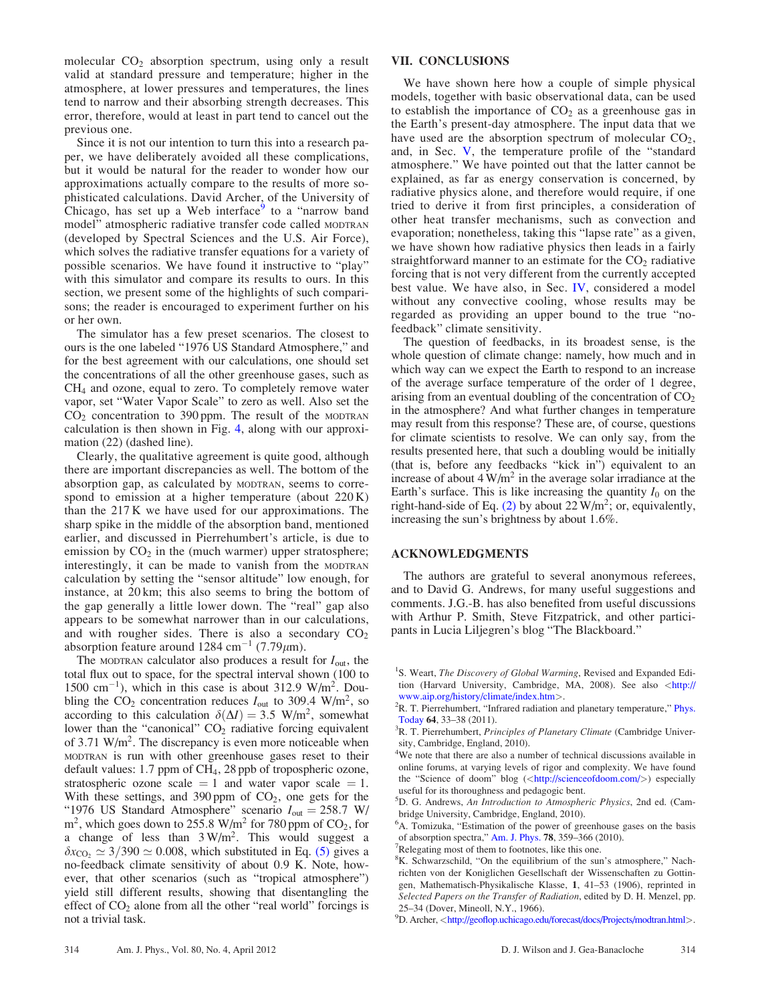<span id="page-8-0"></span>molecular  $CO<sub>2</sub>$  absorption spectrum, using only a result valid at standard pressure and temperature; higher in the atmosphere, at lower pressures and temperatures, the lines tend to narrow and their absorbing strength decreases. This error, therefore, would at least in part tend to cancel out the previous one.

Since it is not our intention to turn this into a research paper, we have deliberately avoided all these complications, but it would be natural for the reader to wonder how our approximations actually compare to the results of more sophisticated calculations. David Archer, of the University of Chicago, has set up a Web interface<sup>9</sup> to a "narrow band model" atmospheric radiative transfer code called MODTRAN (developed by Spectral Sciences and the U.S. Air Force), which solves the radiative transfer equations for a variety of possible scenarios. We have found it instructive to "play" with this simulator and compare its results to ours. In this section, we present some of the highlights of such comparisons; the reader is encouraged to experiment further on his or her own.

The simulator has a few preset scenarios. The closest to ours is the one labeled "1976 US Standard Atmosphere," and for the best agreement with our calculations, one should set the concentrations of all the other greenhouse gases, such as CH4 and ozone, equal to zero. To completely remove water vapor, set "Water Vapor Scale" to zero as well. Also set the  $CO<sub>2</sub>$  concentration to 390 ppm. The result of the MODTRAN calculation is then shown in Fig. [4,](#page-7-0) along with our approximation (22) (dashed line).

Clearly, the qualitative agreement is quite good, although there are important discrepancies as well. The bottom of the absorption gap, as calculated by MODTRAN, seems to correspond to emission at a higher temperature (about 220 K) than the 217 K we have used for our approximations. The sharp spike in the middle of the absorption band, mentioned earlier, and discussed in Pierrehumbert's article, is due to emission by  $CO<sub>2</sub>$  in the (much warmer) upper stratosphere; interestingly, it can be made to vanish from the MODTRAN calculation by setting the "sensor altitude" low enough, for instance, at 20 km; this also seems to bring the bottom of the gap generally a little lower down. The "real" gap also appears to be somewhat narrower than in our calculations, and with rougher sides. There is also a secondary  $CO<sub>2</sub>$ absorption feature around 1284 cm<sup>-1</sup> (7.79 $\mu$ m).

The MODTRAN calculator also produces a result for  $I_{\text{out}}$ , the total flux out to space, for the spectral interval shown (100 to  $1500 \text{ cm}^{-1}$ ), which in this case is about 312.9 W/m<sup>2</sup>. Doubling the  $CO_2$  concentration reduces  $I_{\text{out}}$  to 309.4 W/m<sup>2</sup>, so according to this calculation  $\delta(\Delta I) = 3.5$  W/m<sup>2</sup>, somewhat lower than the "canonical"  $CO<sub>2</sub>$  radiative forcing equivalent of  $3.71 \text{ W/m}^2$ . The discrepancy is even more noticeable when MODTRAN is run with other greenhouse gases reset to their default values: 1:7 ppm of CH4, 28 ppb of tropospheric ozone, stratospheric ozone scale  $= 1$  and water vapor scale  $= 1$ . With these settings, and 390 ppm of  $CO<sub>2</sub>$ , one gets for the "1976 US Standard Atmosphere" scenario  $I_{\text{out}} = 258.7 \text{ W}/$  $m<sup>2</sup>$ , which goes down to 255.8 W/m<sup>2</sup> for 780 ppm of CO<sub>2</sub>, for a change of less than  $3 W/m<sup>2</sup>$ . This would suggest a  $\delta x_{\text{CO}_2} \simeq 3/390 \simeq 0.008$ , which substituted in Eq. [\(5\)](#page-2-0) gives a no-feedback climate sensitivity of about 0:9 K. Note, however, that other scenarios (such as "tropical atmosphere") yield still different results, showing that disentangling the effect of  $CO<sub>2</sub>$  alone from all the other "real world" forcings is not a trivial task.

#### VII. CONCLUSIONS

We have shown here how a couple of simple physical models, together with basic observational data, can be used to establish the importance of  $CO<sub>2</sub>$  as a greenhouse gas in the Earth's present-day atmosphere. The input data that we have used are the absorption spectrum of molecular  $CO<sub>2</sub>$ , and, in Sec. [V,](#page-4-0) the temperature profile of the "standard atmosphere." We have pointed out that the latter cannot be explained, as far as energy conservation is concerned, by radiative physics alone, and therefore would require, if one tried to derive it from first principles, a consideration of other heat transfer mechanisms, such as convection and evaporation; nonetheless, taking this "lapse rate" as a given, we have shown how radiative physics then leads in a fairly straightforward manner to an estimate for the  $CO<sub>2</sub>$  radiative forcing that is not very different from the currently accepted best value. We have also, in Sec. [IV](#page-3-0), considered a model without any convective cooling, whose results may be regarded as providing an upper bound to the true "nofeedback" climate sensitivity.

The question of feedbacks, in its broadest sense, is the whole question of climate change: namely, how much and in which way can we expect the Earth to respond to an increase of the average surface temperature of the order of 1 degree, arising from an eventual doubling of the concentration of  $CO<sub>2</sub>$ in the atmosphere? And what further changes in temperature may result from this response? These are, of course, questions for climate scientists to resolve. We can only say, from the results presented here, that such a doubling would be initially (that is, before any feedbacks "kick in") equivalent to an increase of about  $4 W/m^2$  in the average solar irradiance at the Earth's surface. This is like increasing the quantity  $I_0$  on the right-hand-side of Eq.  $(2)$  by about 22 W/m<sup>2</sup>; or, equivalently, increasing the sun's brightness by about 1:6%.

#### ACKNOWLEDGMENTS

The authors are grateful to several anonymous referees, and to David G. Andrews, for many useful suggestions and comments. J.G.-B. has also benefited from useful discussions with Arthur P. Smith, Steve Fitzpatrick, and other participants in Lucia Liljegren's blog "The Blackboard."

<sup>1</sup>S. Weart, The Discovery of Global Warming, Revised and Expanded Edition (Harvard University, Cambridge, MA, 2008). See also <[http://](http://www.aip.org/history/climate/index.htm) [www.aip.org/history/climate/index.htm](http://www.aip.org/history/climate/index.htm)>. <sup>2</sup>

 ${}^{2}R$ . T. Pierrehumbert, "Infrared radiation and planetary temperature," [Phys.](http://dx.doi.org/10.1063/1.3541943) [Today](http://dx.doi.org/10.1063/1.3541943) 64, 33-38 (2011).

 ${}^{3}R$ . T. Pierrehumbert, *Principles of Planetary Climate* (Cambridge University, Cambridge, England, 2010).

<sup>4</sup>We note that there are also a number of technical discussions available in online forums, at varying levels of rigor and complexity. We have found the "Science of doom" blog (<<http://scienceofdoom.com/>>) especially useful for its thoroughness and pedagogic bent.

5 D. G. Andrews, An Introduction to Atmospheric Physics, 2nd ed. (Cambridge University, Cambridge, England, 2010).

<sup>6</sup>A. Tomizuka, "Estimation of the power of greenhouse gases on the basis of absorption spectra," [Am. J. Phys.](http://dx.doi.org/10.1119/1.3280233) 78, 359-366 (2010).

Relegating most of them to footnotes, like this one.

<sup>8</sup>K. Schwarzschild, "On the equilibrium of the sun's atmosphere," Nachrichten von der Koniglichen Gesellschaft der Wissenschaften zu Gottingen, Mathematisch-Physikalische Klasse, 1, 41–53 (1906), reprinted in Selected Papers on the Transfer of Radiation, edited by D. H. Menzel, pp. 25–34 (Dover, Mineoll, N.Y., 1966).

<sup>9</sup>D. Archer, <<http://geoflop.uchicago.edu/forecast/docs/Projects/modtran.html>>.